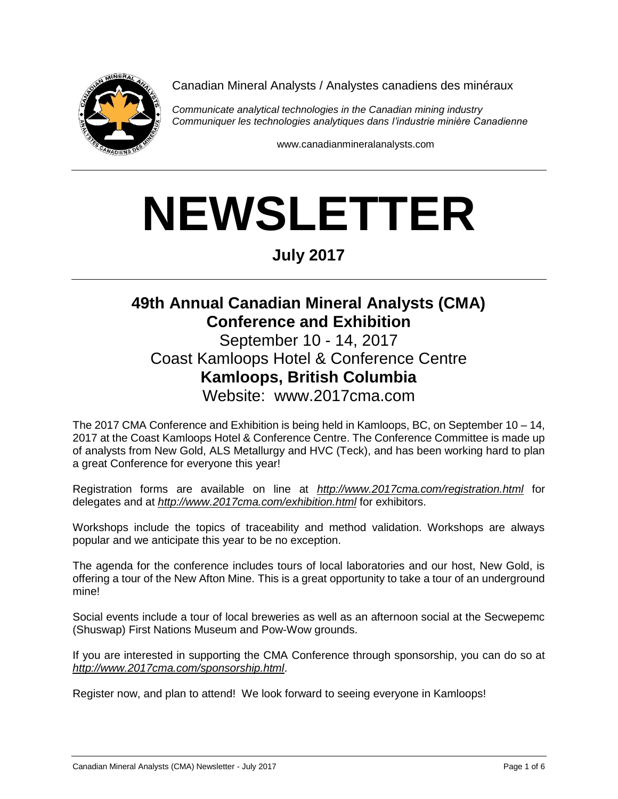

Canadian Mineral Analysts / Analystes canadiens des minéraux

*Communicate analytical technologies in the Canadian mining industry Communiquer les technologies analytiques dans l'industrie minière Canadienne*

www.canadianmineralanalysts.com

# **NEWSLETTER**

**July 2017**

## **49th Annual Canadian Mineral Analysts (CMA) Conference and Exhibition**

September 10 - 14, 2017 Coast Kamloops Hotel & Conference Centre **Kamloops, British Columbia** Website: www.2017cma.com

The 2017 CMA Conference and Exhibition is being held in Kamloops, BC, on September 10 – 14, 2017 at the Coast Kamloops Hotel & Conference Centre. The Conference Committee is made up of analysts from New Gold, ALS Metallurgy and HVC (Teck), and has been working hard to plan a great Conference for everyone this year!

Registration forms are available on line at *http://www.2017cma.com/registration.html* for delegates and at *http://www.2017cma.com/exhibition.html* for exhibitors.

Workshops include the topics of traceability and method validation. Workshops are always popular and we anticipate this year to be no exception.

The agenda for the conference includes tours of local laboratories and our host, New Gold, is offering a tour of the New Afton Mine. This is a great opportunity to take a tour of an underground mine!

Social events include a tour of local breweries as well as an afternoon social at the Secwepemc (Shuswap) First Nations Museum and Pow-Wow grounds.

If you are interested in supporting the CMA Conference through sponsorship, you can do so at *http://www.2017cma.com/sponsorship.html*.

Register now, and plan to attend! We look forward to seeing everyone in Kamloops!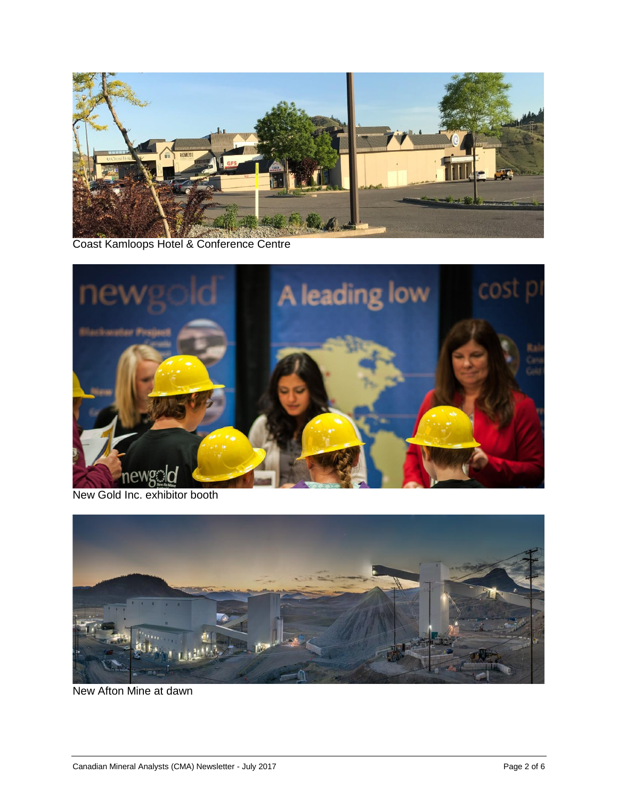

Coast Kamloops Hotel & Conference Centre



New Gold Inc. exhibitor booth



New Afton Mine at dawn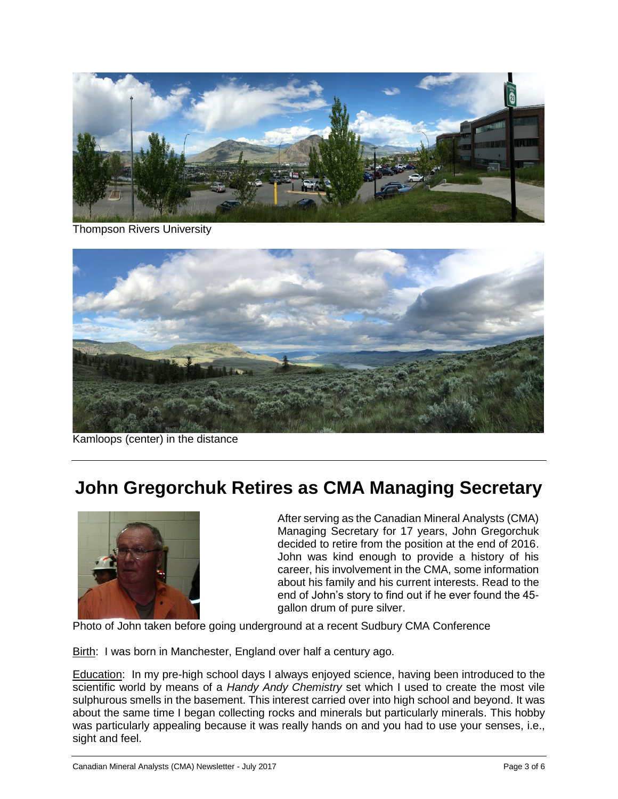

Thompson Rivers University



Kamloops (center) in the distance

# **John Gregorchuk Retires as CMA Managing Secretary**



After serving as the Canadian Mineral Analysts (CMA) Managing Secretary for 17 years, John Gregorchuk decided to retire from the position at the end of 2016. John was kind enough to provide a history of his career, his involvement in the CMA, some information about his family and his current interests. Read to the end of John's story to find out if he ever found the 45 gallon drum of pure silver.

Photo of John taken before going underground at a recent Sudbury CMA Conference

Birth: I was born in Manchester, England over half a century ago.

Education: In my pre-high school days I always enjoyed science, having been introduced to the scientific world by means of a *Handy Andy Chemistry* set which I used to create the most vile sulphurous smells in the basement. This interest carried over into high school and beyond. It was about the same time I began collecting rocks and minerals but particularly minerals. This hobby was particularly appealing because it was really hands on and you had to use your senses, i.e., sight and feel.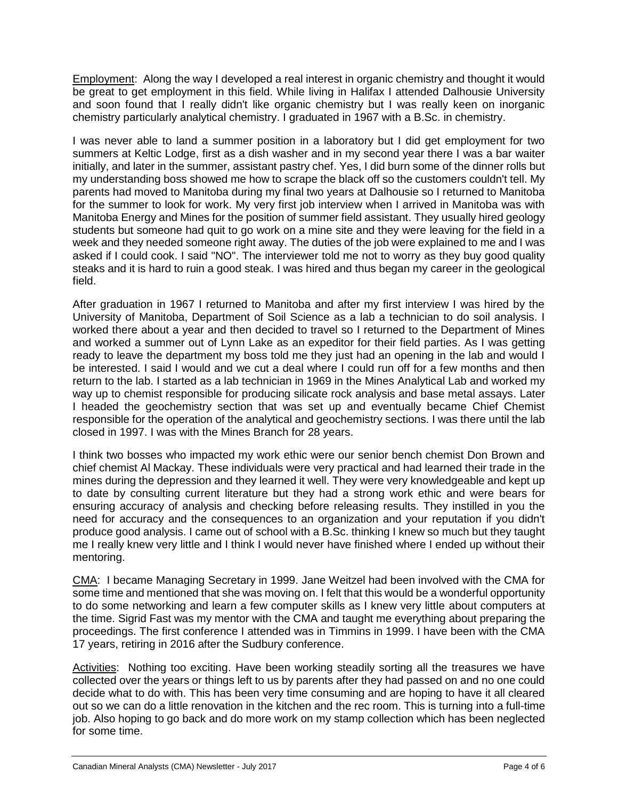Employment: Along the way I developed a real interest in organic chemistry and thought it would be great to get employment in this field. While living in Halifax I attended Dalhousie University and soon found that I really didn't like organic chemistry but I was really keen on inorganic chemistry particularly analytical chemistry. I graduated in 1967 with a B.Sc. in chemistry.

I was never able to land a summer position in a laboratory but I did get employment for two summers at Keltic Lodge, first as a dish washer and in my second year there I was a bar waiter initially, and later in the summer, assistant pastry chef. Yes, I did burn some of the dinner rolls but my understanding boss showed me how to scrape the black off so the customers couldn't tell. My parents had moved to Manitoba during my final two years at Dalhousie so I returned to Manitoba for the summer to look for work. My very first job interview when I arrived in Manitoba was with Manitoba Energy and Mines for the position of summer field assistant. They usually hired geology students but someone had quit to go work on a mine site and they were leaving for the field in a week and they needed someone right away. The duties of the job were explained to me and I was asked if I could cook. I said "NO". The interviewer told me not to worry as they buy good quality steaks and it is hard to ruin a good steak. I was hired and thus began my career in the geological field.

After graduation in 1967 I returned to Manitoba and after my first interview I was hired by the University of Manitoba, Department of Soil Science as a lab a technician to do soil analysis. I worked there about a year and then decided to travel so I returned to the Department of Mines and worked a summer out of Lynn Lake as an expeditor for their field parties. As I was getting ready to leave the department my boss told me they just had an opening in the lab and would I be interested. I said I would and we cut a deal where I could run off for a few months and then return to the lab. I started as a lab technician in 1969 in the Mines Analytical Lab and worked my way up to chemist responsible for producing silicate rock analysis and base metal assays. Later I headed the geochemistry section that was set up and eventually became Chief Chemist responsible for the operation of the analytical and geochemistry sections. I was there until the lab closed in 1997. I was with the Mines Branch for 28 years.

I think two bosses who impacted my work ethic were our senior bench chemist Don Brown and chief chemist Al Mackay. These individuals were very practical and had learned their trade in the mines during the depression and they learned it well. They were very knowledgeable and kept up to date by consulting current literature but they had a strong work ethic and were bears for ensuring accuracy of analysis and checking before releasing results. They instilled in you the need for accuracy and the consequences to an organization and your reputation if you didn't produce good analysis. I came out of school with a B.Sc. thinking I knew so much but they taught me I really knew very little and I think I would never have finished where I ended up without their mentoring.

CMA: I became Managing Secretary in 1999. Jane Weitzel had been involved with the CMA for some time and mentioned that she was moving on. I felt that this would be a wonderful opportunity to do some networking and learn a few computer skills as I knew very little about computers at the time. Sigrid Fast was my mentor with the CMA and taught me everything about preparing the proceedings. The first conference I attended was in Timmins in 1999. I have been with the CMA 17 years, retiring in 2016 after the Sudbury conference.

Activities: Nothing too exciting. Have been working steadily sorting all the treasures we have collected over the years or things left to us by parents after they had passed on and no one could decide what to do with. This has been very time consuming and are hoping to have it all cleared out so we can do a little renovation in the kitchen and the rec room. This is turning into a full-time job. Also hoping to go back and do more work on my stamp collection which has been neglected for some time.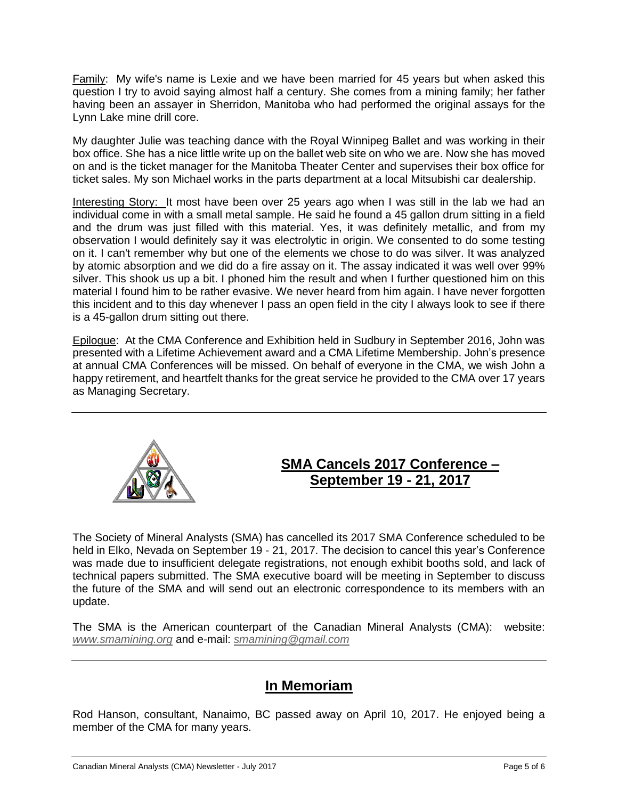Family: My wife's name is Lexie and we have been married for 45 years but when asked this question I try to avoid saying almost half a century. She comes from a mining family; her father having been an assayer in Sherridon, Manitoba who had performed the original assays for the Lynn Lake mine drill core.

My daughter Julie was teaching dance with the Royal Winnipeg Ballet and was working in their box office. She has a nice little write up on the ballet web site on who we are. Now she has moved on and is the ticket manager for the Manitoba Theater Center and supervises their box office for ticket sales. My son Michael works in the parts department at a local Mitsubishi car dealership.

Interesting Story: It most have been over 25 years ago when I was still in the lab we had an individual come in with a small metal sample. He said he found a 45 gallon drum sitting in a field and the drum was just filled with this material. Yes, it was definitely metallic, and from my observation I would definitely say it was electrolytic in origin. We consented to do some testing on it. I can't remember why but one of the elements we chose to do was silver. It was analyzed by atomic absorption and we did do a fire assay on it. The assay indicated it was well over 99% silver. This shook us up a bit. I phoned him the result and when I further questioned him on this material I found him to be rather evasive. We never heard from him again. I have never forgotten this incident and to this day whenever I pass an open field in the city I always look to see if there is a 45-gallon drum sitting out there.

Epilogue: At the CMA Conference and Exhibition held in Sudbury in September 2016, John was presented with a Lifetime Achievement award and a CMA Lifetime Membership. John's presence at annual CMA Conferences will be missed. On behalf of everyone in the CMA, we wish John a happy retirement, and heartfelt thanks for the great service he provided to the CMA over 17 years as Managing Secretary.



#### **SMA Cancels 2017 Conference – September 19 - 21, 2017**

The Society of Mineral Analysts (SMA) has cancelled its 2017 SMA Conference scheduled to be held in Elko, Nevada on September 19 - 21, 2017. The decision to cancel this year's Conference was made due to insufficient delegate registrations, not enough exhibit booths sold, and lack of technical papers submitted. The SMA executive board will be meeting in September to discuss the future of the SMA and will send out an electronic correspondence to its members with an update.

The SMA is the American counterpart of the Canadian Mineral Analysts (CMA): website: *[www.smamining.org](http://www.smamining.org/)* and e-mail: *[smamining@gmail.com](mailto:smamining@gmail.com)*

### **In Memoriam**

Rod Hanson, consultant, Nanaimo, BC passed away on April 10, 2017. He enjoyed being a member of the CMA for many years.